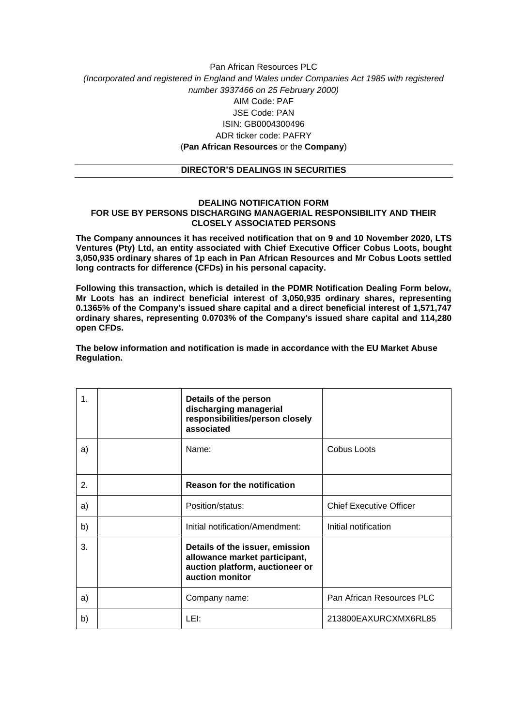## Pan African Resources PLC *(Incorporated and registered in England and Wales under Companies Act 1985 with registered number 3937466 on 25 February 2000)* AIM Code: PAF JSE Code: PAN ISIN: GB0004300496 ADR ticker code: PAFRY (**Pan African Resources** or the **Company**)

## **DIRECTOR'S DEALINGS IN SECURITIES**

## **DEALING NOTIFICATION FORM FOR USE BY PERSONS DISCHARGING MANAGERIAL RESPONSIBILITY AND THEIR CLOSELY ASSOCIATED PERSONS**

**The Company announces it has received notification that on 9 and 10 November 2020, LTS Ventures (Pty) Ltd, an entity associated with Chief Executive Officer Cobus Loots, bought 3,050,935 ordinary shares of 1p each in Pan African Resources and Mr Cobus Loots settled long contracts for difference (CFDs) in his personal capacity.**

**Following this transaction, which is detailed in the PDMR Notification Dealing Form below, Mr Loots has an indirect beneficial interest of 3,050,935 ordinary shares, representing 0.1365% of the Company's issued share capital and a direct beneficial interest of 1,571,747 ordinary shares, representing 0.0703% of the Company's issued share capital and 114,280 open CFDs.**

**The below information and notification is made in accordance with the EU Market Abuse Regulation.**

| 1.               | Details of the person<br>discharging managerial<br>responsibilities/person closely<br>associated                       |                                |
|------------------|------------------------------------------------------------------------------------------------------------------------|--------------------------------|
| a)               | Name:                                                                                                                  | <b>Cobus Loots</b>             |
| $\overline{2}$ . | <b>Reason for the notification</b>                                                                                     |                                |
| a)               | Position/status:                                                                                                       | <b>Chief Executive Officer</b> |
| b)               | Initial notification/Amendment:                                                                                        | Initial notification           |
| 3.               | Details of the issuer, emission<br>allowance market participant,<br>auction platform, auctioneer or<br>auction monitor |                                |
| a)               | Company name:                                                                                                          | Pan African Resources PLC      |
| b)               | LEI:                                                                                                                   | 213800EAXURCXMX6RL85           |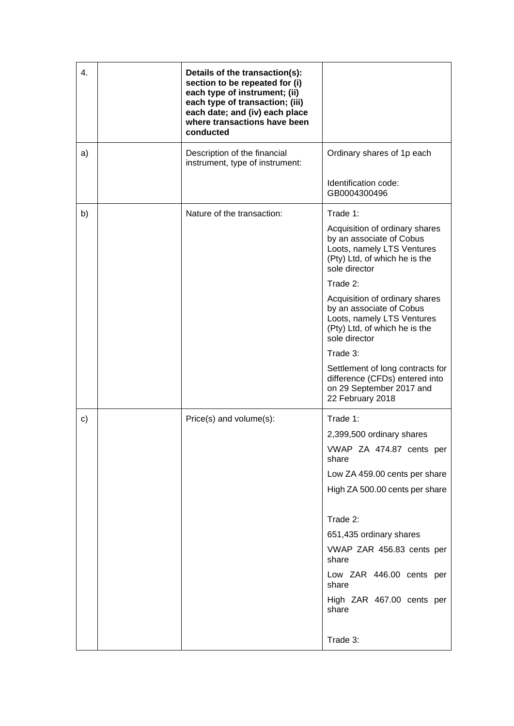| 4. | Details of the transaction(s):<br>section to be repeated for (i)<br>each type of instrument; (ii)<br>each type of transaction; (iii)<br>each date; and (iv) each place<br>where transactions have been<br>conducted |                                                                                                                                            |
|----|---------------------------------------------------------------------------------------------------------------------------------------------------------------------------------------------------------------------|--------------------------------------------------------------------------------------------------------------------------------------------|
| a) | Description of the financial<br>instrument, type of instrument:                                                                                                                                                     | Ordinary shares of 1p each                                                                                                                 |
|    |                                                                                                                                                                                                                     | Identification code:<br>GB0004300496                                                                                                       |
| b) | Nature of the transaction:                                                                                                                                                                                          | Trade 1:                                                                                                                                   |
|    |                                                                                                                                                                                                                     | Acquisition of ordinary shares<br>by an associate of Cobus<br>Loots, namely LTS Ventures<br>(Pty) Ltd, of which he is the<br>sole director |
|    |                                                                                                                                                                                                                     | Trade 2:                                                                                                                                   |
|    |                                                                                                                                                                                                                     | Acquisition of ordinary shares<br>by an associate of Cobus<br>Loots, namely LTS Ventures<br>(Pty) Ltd, of which he is the<br>sole director |
|    |                                                                                                                                                                                                                     | Trade 3:                                                                                                                                   |
|    |                                                                                                                                                                                                                     | Settlement of long contracts for<br>difference (CFDs) entered into<br>on 29 September 2017 and<br>22 February 2018                         |
| c) | Price(s) and volume(s):                                                                                                                                                                                             | Trade 1:                                                                                                                                   |
|    |                                                                                                                                                                                                                     | 2,399,500 ordinary shares                                                                                                                  |
|    |                                                                                                                                                                                                                     | VWAP ZA 474.87 cents per<br>share                                                                                                          |
|    |                                                                                                                                                                                                                     | Low ZA 459.00 cents per share                                                                                                              |
|    |                                                                                                                                                                                                                     | High ZA 500.00 cents per share                                                                                                             |
|    |                                                                                                                                                                                                                     | Trade 2:                                                                                                                                   |
|    |                                                                                                                                                                                                                     | 651,435 ordinary shares                                                                                                                    |
|    |                                                                                                                                                                                                                     | VWAP ZAR 456.83 cents per<br>share                                                                                                         |
|    |                                                                                                                                                                                                                     | Low ZAR 446.00 cents per<br>share                                                                                                          |
|    |                                                                                                                                                                                                                     | High ZAR 467.00 cents per<br>share                                                                                                         |
|    |                                                                                                                                                                                                                     | Trade 3:                                                                                                                                   |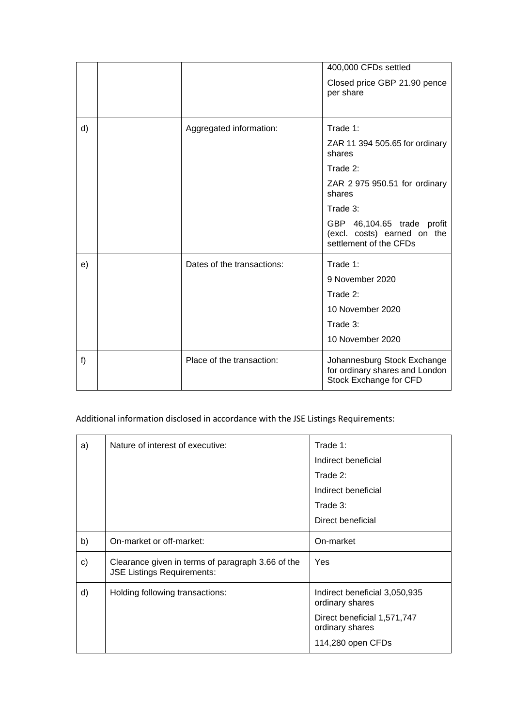|    |                            | 400,000 CFDs settled                                                                    |
|----|----------------------------|-----------------------------------------------------------------------------------------|
|    |                            | Closed price GBP 21.90 pence<br>per share                                               |
|    |                            |                                                                                         |
| d) | Aggregated information:    | Trade 1:                                                                                |
|    |                            | ZAR 11 394 505.65 for ordinary<br>shares                                                |
|    |                            | Trade 2:                                                                                |
|    |                            | ZAR 2 975 950.51 for ordinary<br>shares                                                 |
|    |                            | Trade 3:                                                                                |
|    |                            | GBP 46,104.65 trade profit<br>(excl. costs) earned on the<br>settlement of the CFDs     |
| e) | Dates of the transactions: | Trade 1:                                                                                |
|    |                            | 9 November 2020                                                                         |
|    |                            | Trade 2:                                                                                |
|    |                            | 10 November 2020                                                                        |
|    |                            | Trade 3:                                                                                |
|    |                            | 10 November 2020                                                                        |
| f) | Place of the transaction:  | Johannesburg Stock Exchange<br>for ordinary shares and London<br>Stock Exchange for CFD |

## Additional information disclosed in accordance with the JSE Listings Requirements:

| a)           | Nature of interest of executive:                                                       | Trade 1:<br>Indirect beneficial                  |
|--------------|----------------------------------------------------------------------------------------|--------------------------------------------------|
|              |                                                                                        | Trade 2:                                         |
|              |                                                                                        | Indirect beneficial                              |
|              |                                                                                        | Trade 3:                                         |
|              |                                                                                        | Direct beneficial                                |
| b)           | On-market or off-market:                                                               | On-market                                        |
| $\mathbf{c}$ | Clearance given in terms of paragraph 3.66 of the<br><b>JSE Listings Requirements:</b> | <b>Yes</b>                                       |
| d)           | Holding following transactions:                                                        | Indirect beneficial 3,050,935<br>ordinary shares |
|              |                                                                                        | Direct beneficial 1,571,747<br>ordinary shares   |
|              |                                                                                        | 114,280 open CFDs                                |